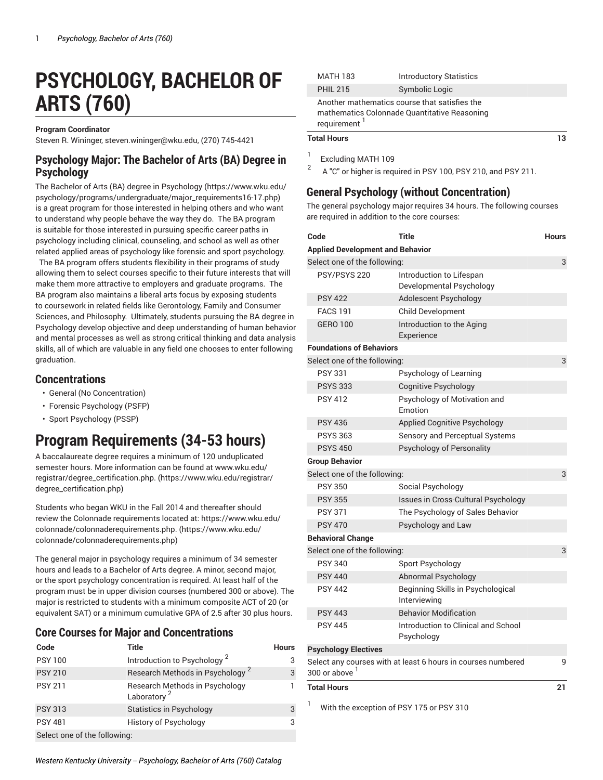# **PSYCHOLOGY, BACHELOR OF ARTS (760)**

#### **Program Coordinator**

Steven R. Wininger, [steven.wininger@wku.edu,](mailto:steven.wininger@wku.edu) (270) 745-4421

#### **Psychology Major: The Bachelor of Arts (BA) Degree in Psychology**

The Bachelor of Arts (BA) degree in [Psychology \(https://www.wku.edu/](https://www.wku.edu/psychology/programs/undergraduate/major_requirements16-17.php) [psychology/programs/undergraduate/major\\_requirements16-17.php](https://www.wku.edu/psychology/programs/undergraduate/major_requirements16-17.php)) is a great program for those interested in helping others and who want to understand why people behave the way they do. The BA program is suitable for those interested in pursuing specific career paths in psychology including clinical, counseling, and school as well as other related applied areas of psychology like forensic and sport psychology.

The BA program offers students flexibility in their programs of study allowing them to select courses specific to their future interests that will make them more attractive to employers and graduate programs. The BA program also maintains a liberal arts focus by exposing students to coursework in related fields like Gerontology, Family and Consumer Sciences, and Philosophy. Ultimately, students pursuing the BA degree in Psychology develop objective and deep understanding of human behavior and mental processes as well as strong critical thinking and data analysis skills, all of which are valuable in any field one chooses to enter following graduation.

#### **Concentrations**

- General (No Concentration)
- Forensic Psychology (PSFP)
- Sport Psychology (PSSP)

# **Program Requirements (34-53 hours)**

A baccalaureate degree requires a minimum of 120 unduplicated semester hours. More information can be found at [www.wku.edu/](https://www.wku.edu/registrar/degree_certification.php) [registrar/degree\\_certification.php.](https://www.wku.edu/registrar/degree_certification.php) [\(https://www.wku.edu/registrar/](https://www.wku.edu/registrar/degree_certification.php) [degree\\_certification.php\)](https://www.wku.edu/registrar/degree_certification.php)

Students who began WKU in the Fall 2014 and thereafter should review the Colonnade requirements located at: [https://www.wku.edu/](https://www.wku.edu/colonnade/colonnaderequirements.php) [colonnade/colonnaderequirements.php.](https://www.wku.edu/colonnade/colonnaderequirements.php) ([https://www.wku.edu/](https://www.wku.edu/colonnade/colonnaderequirements.php) [colonnade/colonnaderequirements.php\)](https://www.wku.edu/colonnade/colonnaderequirements.php)

The general major in psychology requires a minimum of 34 semester hours and leads to a Bachelor of Arts degree. A minor, second major, or the sport psychology concentration is required. At least half of the program must be in upper division courses (numbered 300 or above). The major is restricted to students with a minimum composite ACT of 20 (or equivalent SAT) or a minimum cumulative GPA of 2.5 after 30 plus hours.

#### **Core Courses for Major and Concentrations**

| Code                         | <b>Title</b>                                              | <b>Hours</b> |
|------------------------------|-----------------------------------------------------------|--------------|
| <b>PSY 100</b>               | Introduction to Psychology <sup>2</sup>                   | 3            |
| <b>PSY 210</b>               | Research Methods in Psychology <sup>2</sup>               | 3            |
| <b>PSY 211</b>               | Research Methods in Psychology<br>Laboratory <sup>2</sup> |              |
| <b>PSY 313</b>               | <b>Statistics in Psychology</b>                           | 3            |
| <b>PSY 481</b>               | <b>History of Psychology</b>                              | 3            |
| Select one of the following: |                                                           |              |

| وبربولا اوفو    |                                               |  |
|-----------------|-----------------------------------------------|--|
| requirement     | mathematics Colonnade Quantitative Reasoning  |  |
|                 | Another mathematics course that satisfies the |  |
| <b>PHIL 215</b> | Symbolic Logic                                |  |
| <b>MATH 183</b> | <b>Introductory Statistics</b>                |  |

Excluding MATH 109

2 A "C" or higher is required in PSY 100, PSY 210, and PSY 211.

#### **General Psychology (without Concentration)**

The general psychology major requires 34 hours. The following courses are required in addition to the core courses:

| Code                                    | <b>Title</b>                                                 | <b>Hours</b> |
|-----------------------------------------|--------------------------------------------------------------|--------------|
| <b>Applied Development and Behavior</b> |                                                              |              |
| Select one of the following:            |                                                              | 3            |
| PSY/PSYS 220                            | Introduction to Lifespan<br>Developmental Psychology         |              |
| <b>PSY 422</b>                          | Adolescent Psychology                                        |              |
| <b>FACS 191</b>                         | Child Development                                            |              |
| <b>GERO 100</b>                         | Introduction to the Aging<br>Experience                      |              |
| <b>Foundations of Behaviors</b>         |                                                              |              |
| Select one of the following:            |                                                              | 3            |
| <b>PSY 331</b>                          | Psychology of Learning                                       |              |
| <b>PSYS 333</b>                         | <b>Cognitive Psychology</b>                                  |              |
| <b>PSY 412</b>                          | Psychology of Motivation and<br>Emotion                      |              |
| <b>PSY 436</b>                          | <b>Applied Cognitive Psychology</b>                          |              |
| <b>PSYS 363</b>                         | Sensory and Perceptual Systems                               |              |
| <b>PSYS 450</b>                         | Psychology of Personality                                    |              |
| <b>Group Behavior</b>                   |                                                              |              |
| Select one of the following:            |                                                              | 3            |
| <b>PSY 350</b>                          | Social Psychology                                            |              |
| <b>PSY 355</b>                          | Issues in Cross-Cultural Psychology                          |              |
| <b>PSY 371</b>                          | The Psychology of Sales Behavior                             |              |
| <b>PSY 470</b>                          | Psychology and Law                                           |              |
| <b>Behavioral Change</b>                |                                                              |              |
| Select one of the following:            |                                                              | 3            |
| <b>PSY 340</b>                          | Sport Psychology                                             |              |
| <b>PSY 440</b>                          | Abnormal Psychology                                          |              |
| <b>PSY 442</b>                          | Beginning Skills in Psychological<br>Interviewing            |              |
| <b>PSY 443</b>                          | <b>Behavior Modification</b>                                 |              |
| <b>PSY 445</b>                          | Introduction to Clinical and School<br>Psychology            |              |
| <b>Psychology Electives</b>             |                                                              |              |
| $300$ or above $^1$                     | Select any courses with at least 6 hours in courses numbered | 9            |
| <b>Total Hours</b>                      |                                                              | 21           |

With the exception of PSY 175 or PSY 310

**Total Hours 13** 1

*Western Kentucky University -- Psychology, Bachelor of Arts (760) Catalog*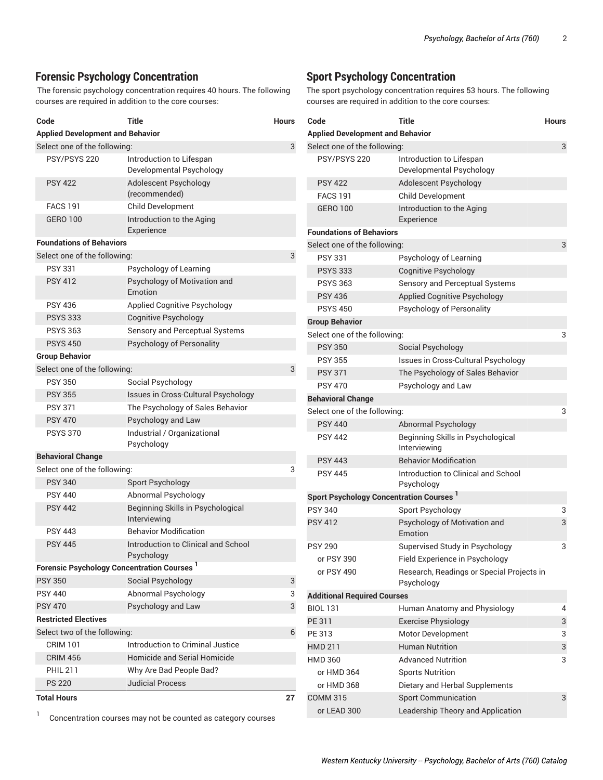#### **Forensic Psychology Concentration**

The forensic psychology concentration requires 40 hours. The following courses are required in addition to the core courses:

| Code                                                   | Title                                                | <b>Hours</b> |
|--------------------------------------------------------|------------------------------------------------------|--------------|
| <b>Applied Development and Behavior</b>                |                                                      |              |
| Select one of the following:                           |                                                      | 3            |
| PSY/PSYS 220                                           | Introduction to Lifespan<br>Developmental Psychology |              |
| <b>PSY 422</b>                                         | Adolescent Psychology<br>(recommended)               |              |
| <b>FACS 191</b>                                        | <b>Child Development</b>                             |              |
| <b>GERO 100</b>                                        | Introduction to the Aging<br>Experience              |              |
| <b>Foundations of Behaviors</b>                        |                                                      |              |
| Select one of the following:                           |                                                      | 3            |
| <b>PSY 331</b>                                         | Psychology of Learning                               |              |
| <b>PSY 412</b>                                         | Psychology of Motivation and<br>Emotion              |              |
| <b>PSY 436</b>                                         | Applied Cognitive Psychology                         |              |
| <b>PSYS 333</b>                                        | <b>Cognitive Psychology</b>                          |              |
| <b>PSYS 363</b>                                        | Sensory and Perceptual Systems                       |              |
| <b>PSYS 450</b>                                        | <b>Psychology of Personality</b>                     |              |
| <b>Group Behavior</b>                                  |                                                      |              |
| Select one of the following:                           |                                                      | 3            |
| <b>PSY 350</b>                                         | Social Psychology                                    |              |
| <b>PSY 355</b>                                         | Issues in Cross-Cultural Psychology                  |              |
| <b>PSY 371</b>                                         | The Psychology of Sales Behavior                     |              |
| <b>PSY 470</b>                                         | Psychology and Law                                   |              |
| <b>PSYS 370</b>                                        | Industrial / Organizational<br>Psychology            |              |
| <b>Behavioral Change</b>                               |                                                      |              |
| Select one of the following:                           |                                                      | 3            |
| <b>PSY 340</b>                                         | Sport Psychology                                     |              |
| <b>PSY 440</b>                                         | Abnormal Psychology                                  |              |
| <b>PSY 442</b>                                         | Beginning Skills in Psychological<br>Interviewing    |              |
| <b>PSY 443</b>                                         | <b>Behavior Modification</b>                         |              |
| <b>PSY 445</b>                                         | Introduction to Clinical and School<br>Psychology    |              |
| Forensic Psychology Concentration Courses <sup>1</sup> |                                                      |              |
| <b>PSY 350</b>                                         | Social Psychology                                    | 3            |
| <b>PSY 440</b>                                         | Abnormal Psychology                                  | 3            |
| <b>PSY 470</b>                                         | Psychology and Law                                   | 3            |
| <b>Restricted Electives</b>                            |                                                      |              |
| Select two of the following:                           |                                                      | 6            |
| <b>CRIM 101</b>                                        | Introduction to Criminal Justice                     |              |
| <b>CRIM 456</b>                                        | Homicide and Serial Homicide                         |              |
| <b>PHIL 211</b>                                        | Why Are Bad People Bad?                              |              |
| <b>PS 220</b>                                          | <b>Judicial Process</b>                              |              |
| <b>Total Hours</b>                                     |                                                      | 27           |

1 Concentration courses may not be counted as category courses

#### **Sport Psychology Concentration**

The sport psychology concentration requires 53 hours. The following courses are required in addition to the core courses:

| Code                                                | <b>Title</b>                                            | <b>Hours</b> |
|-----------------------------------------------------|---------------------------------------------------------|--------------|
| <b>Applied Development and Behavior</b>             |                                                         |              |
| Select one of the following:                        |                                                         | 3            |
| PSY/PSYS 220                                        | Introduction to Lifespan<br>Developmental Psychology    |              |
| <b>PSY 422</b>                                      | Adolescent Psychology                                   |              |
| <b>FACS 191</b>                                     | Child Development                                       |              |
| <b>GERO 100</b>                                     | Introduction to the Aging<br>Experience                 |              |
| <b>Foundations of Behaviors</b>                     |                                                         |              |
| Select one of the following:                        |                                                         | 3            |
| <b>PSY 331</b>                                      | Psychology of Learning                                  |              |
| <b>PSYS 333</b>                                     | Cognitive Psychology                                    |              |
| <b>PSYS 363</b>                                     | Sensory and Perceptual Systems                          |              |
| <b>PSY 436</b>                                      | Applied Cognitive Psychology                            |              |
| <b>PSYS 450</b>                                     | Psychology of Personality                               |              |
| <b>Group Behavior</b>                               |                                                         |              |
| Select one of the following:                        |                                                         | 3            |
| <b>PSY 350</b>                                      | Social Psychology                                       |              |
| <b>PSY 355</b>                                      | Issues in Cross-Cultural Psychology                     |              |
| <b>PSY 371</b>                                      | The Psychology of Sales Behavior                        |              |
| <b>PSY 470</b>                                      | Psychology and Law                                      |              |
| <b>Behavioral Change</b>                            |                                                         |              |
| Select one of the following:                        |                                                         | 3            |
| <b>PSY 440</b>                                      | Abnormal Psychology                                     |              |
| <b>PSY 442</b>                                      | Beginning Skills in Psychological<br>Interviewing       |              |
| <b>PSY 443</b>                                      | <b>Behavior Modification</b>                            |              |
| <b>PSY 445</b>                                      | Introduction to Clinical and School<br>Psychology       |              |
| Sport Psychology Concentration Courses <sup>1</sup> |                                                         |              |
| <b>PSY 340</b>                                      | Sport Psychology                                        | 3            |
| <b>PSY 412</b>                                      | Psychology of Motivation and<br>Emotion                 | 3            |
| <b>PSY 290</b>                                      | Supervised Study in Psychology                          | 3            |
| or PSY 390                                          | Field Experience in Psychology                          |              |
| or PSY 490                                          | Research, Readings or Special Projects in<br>Psychology |              |
| <b>Additional Required Courses</b>                  |                                                         |              |
| <b>BIOL 131</b>                                     | Human Anatomy and Physiology                            | 4            |
| PE 311                                              | <b>Exercise Physiology</b>                              | 3            |
| PE 313                                              | Motor Development                                       | 3            |
| <b>HMD 211</b>                                      | <b>Human Nutrition</b>                                  | 3            |
| <b>HMD 360</b>                                      | <b>Advanced Nutrition</b>                               | 3            |
| or HMD 364                                          | <b>Sports Nutrition</b>                                 |              |
| or HMD 368                                          | Dietary and Herbal Supplements                          |              |
| <b>COMM 315</b>                                     | <b>Sport Communication</b>                              | 3            |
| or LEAD 300                                         | Leadership Theory and Application                       |              |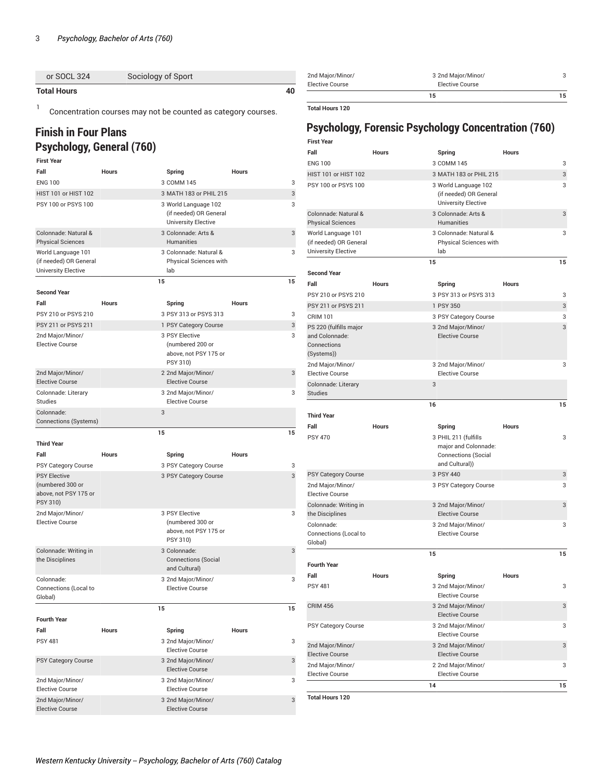| <b>Total Hours</b> |                    | 40 | <b>Elective Cours</b> |
|--------------------|--------------------|----|-----------------------|
| or SOCL 324        | Sociology of Sport |    | 2nd Major/Mi          |

1 Concentration courses may not be counted as category courses.

### **Finish in Four Plans Psychology, General (760)**

| <b>First Year</b>                                                            |              |                                                                              |              |
|------------------------------------------------------------------------------|--------------|------------------------------------------------------------------------------|--------------|
| Fall                                                                         | <b>Hours</b> | Spring                                                                       | <b>Hours</b> |
| <b>ENG 100</b>                                                               |              | 3 COMM 145                                                                   | 3            |
| HIST 101 or HIST 102                                                         |              | 3 MATH 183 or PHIL 215                                                       | 3            |
| PSY 100 or PSYS 100                                                          |              | 3 World Language 102<br>(if needed) OR General<br><b>University Elective</b> | 3            |
| Colonnade: Natural &<br><b>Physical Sciences</b>                             |              | 3 Colonnade: Arts &<br><b>Humanities</b>                                     | 3            |
| World Language 101<br>(if needed) OR General<br>University Elective          |              | 3 Colonnade: Natural &<br>Physical Sciences with<br>lab                      | 3            |
|                                                                              | 15           |                                                                              | 15           |
| <b>Second Year</b>                                                           |              |                                                                              |              |
| Fall                                                                         | <b>Hours</b> | Spring                                                                       | <b>Hours</b> |
| PSY 210 or PSYS 210                                                          |              | 3 PSY 313 or PSYS 313                                                        | 3            |
| PSY 211 or PSYS 211                                                          |              | 1 PSY Category Course                                                        | 3            |
| 2nd Major/Minor/<br><b>Elective Course</b>                                   |              | 3 PSY Elective<br>(numbered 200 or<br>above, not PSY 175 or<br>PSY 310)      | 3            |
| 2nd Major/Minor/<br><b>Elective Course</b>                                   |              | 2 2nd Major/Minor/<br><b>Elective Course</b>                                 | 3            |
| Colonnade: Literary<br>Studies                                               |              | 3 2nd Major/Minor/<br><b>Elective Course</b>                                 | 3            |
| Colonnade:<br>Connections (Systems)                                          | 3            |                                                                              |              |
|                                                                              | 15           |                                                                              | 15           |
| <b>Third Year</b>                                                            |              |                                                                              |              |
| Fall                                                                         | <b>Hours</b> | Spring                                                                       | <b>Hours</b> |
| PSY Category Course                                                          |              | 3 PSY Category Course                                                        | 3            |
| <b>PSY Elective</b><br>(numbered 300 or<br>above, not PSY 175 or<br>PSY 310) |              | 3 PSY Category Course                                                        | 3            |
| 2nd Major/Minor/<br><b>Elective Course</b>                                   |              | 3 PSY Elective<br>(numbered 300 or                                           | 3            |
|                                                                              |              | above, not PSY 175 or<br>PSY 310)                                            |              |
| Colonnade: Writing in<br>the Disciplines                                     |              | 3 Colonnade:<br><b>Connections (Social</b><br>and Cultural)                  | 3            |
| Colonnade:<br>Connections (Local to<br>Global)                               |              | 3 2nd Major/Minor/<br><b>Elective Course</b>                                 | 3            |
|                                                                              | 15           |                                                                              | 15           |
| <b>Fourth Year</b>                                                           |              |                                                                              |              |
| Fall                                                                         | <b>Hours</b> | Spring                                                                       | <b>Hours</b> |
| <b>PSY 481</b>                                                               |              | 3 2nd Major/Minor/<br><b>Elective Course</b>                                 | 3            |
| PSY Category Course                                                          |              | 3 2nd Major/Minor/<br><b>Elective Course</b>                                 | 3            |
| 2nd Major/Minor/<br><b>Elective Course</b>                                   |              | 3 2nd Major/Minor/<br><b>Elective Course</b>                                 | 3            |

| Elective Course  | <b>Elective Course</b><br>15 | 15 |
|------------------|------------------------------|----|
| 2nd Major/Minor/ | 3 2nd Major/Minor/           |    |

**Total Hours 120**

## **Psychology, Forensic Psychology Concentration (760)**

| <b>First Year</b>                                                          |              |                                                                                                        |                   |
|----------------------------------------------------------------------------|--------------|--------------------------------------------------------------------------------------------------------|-------------------|
| Fall                                                                       | <b>Hours</b> | Spring                                                                                                 | <b>Hours</b>      |
| <b>ENG 100</b>                                                             |              | 3 COMM 145                                                                                             | 3                 |
| <b>HIST 101 or HIST 102</b>                                                |              | 3 MATH 183 or PHIL 215                                                                                 | 3                 |
| PSY 100 or PSYS 100                                                        |              | 3 World Language 102<br>(if needed) OR General<br><b>University Elective</b>                           | 3                 |
| Colonnade: Natural &<br><b>Physical Sciences</b>                           |              | 3 Colonnade: Arts &<br><b>Humanities</b>                                                               | 3                 |
| World Language 101<br>(if needed) OR General<br><b>University Elective</b> |              | 3 Colonnade: Natural &<br>Physical Sciences with<br>lab                                                | 3                 |
|                                                                            | 15           |                                                                                                        | 15                |
| <b>Second Year</b><br>Fall                                                 |              |                                                                                                        | <b>Hours</b>      |
|                                                                            | <b>Hours</b> | Spring                                                                                                 |                   |
| PSY 210 or PSYS 210                                                        |              | 3 PSY 313 or PSYS 313                                                                                  | 3                 |
| PSY 211 or PSYS 211                                                        |              | 1 PSY 350                                                                                              | 3                 |
| <b>CRIM 101</b>                                                            |              | 3 PSY Category Course                                                                                  | 3                 |
| PS 220 (fulfills major<br>and Colonnade:<br>Connections<br>(Systems))      |              | 3 2nd Major/Minor/<br><b>Elective Course</b>                                                           | 3                 |
| 2nd Major/Minor/<br><b>Elective Course</b>                                 |              | 3 2nd Major/Minor/<br><b>Elective Course</b>                                                           | 3                 |
| Colonnade: Literary<br><b>Studies</b>                                      | 3            |                                                                                                        |                   |
|                                                                            | 16           |                                                                                                        | 15                |
|                                                                            |              |                                                                                                        |                   |
| <b>Third Year</b>                                                          |              |                                                                                                        |                   |
| Fall                                                                       | Hours        |                                                                                                        | <b>Hours</b>      |
| <b>PSY 470</b>                                                             |              | Spring<br>3 PHIL 211 (fulfills<br>major and Colonnade:<br><b>Connections (Social</b><br>and Cultural)) | 3                 |
| PSY Category Course                                                        |              | 3 PSY 440                                                                                              | 3                 |
| 2nd Major/Minor/<br><b>Elective Course</b>                                 |              | 3 PSY Category Course                                                                                  | 3                 |
| Colonnade: Writing in                                                      |              | 3 2nd Major/Minor/<br><b>Elective Course</b>                                                           | 3                 |
| the Disciplines<br>Colonnade:                                              |              | 3 2nd Major/Minor/                                                                                     | 3                 |
| Connections (Local to                                                      |              | <b>Elective Course</b>                                                                                 |                   |
| Global)                                                                    | 15           |                                                                                                        | 15                |
| <b>Fourth Year</b>                                                         |              |                                                                                                        |                   |
| Fall                                                                       |              |                                                                                                        |                   |
| <b>PSY 481</b>                                                             | Hours        | Spring<br>3 2nd Major/Minor/                                                                           | <b>Hours</b><br>3 |
| <b>CRIM 456</b>                                                            |              | <b>Elective Course</b><br>3 2nd Major/Minor/<br><b>Elective Course</b>                                 | 3                 |
| PSY Category Course                                                        |              | 3 2nd Major/Minor/                                                                                     | 3                 |
| 2nd Major/Minor/                                                           |              | <b>Elective Course</b><br>3 2nd Major/Minor/                                                           | 3                 |
| <b>Elective Course</b>                                                     |              | <b>Elective Course</b>                                                                                 |                   |
| 2nd Major/Minor/<br><b>Elective Course</b>                                 | 14           | 2 2nd Major/Minor/<br><b>Elective Course</b>                                                           | 3<br>15           |

**Total Hours 120**